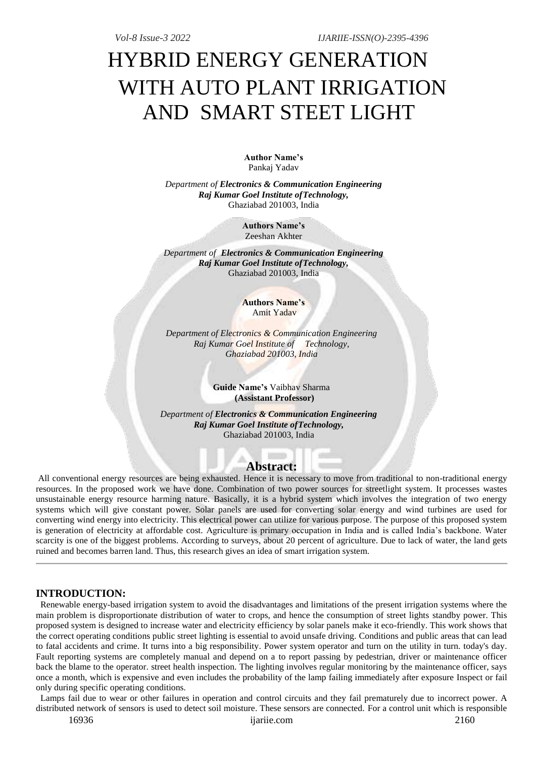# HYBRID ENERGY GENERATION WITH AUTO PLANT IRRIGATION AND SMART STEET LIGHT

**Author Name's**  Pankaj Yadav

*Department of Electronics & Communication Engineering Raj Kumar Goel Institute ofTechnology,* Ghaziabad 201003, India

> **Authors Name's**  Zeeshan Akhter

*Department of Electronics & Communication Engineering Raj Kumar Goel Institute ofTechnology,* Ghaziabad 201003, India

> **Authors Name's** Amit Yadav

*Department of Electronics & Communication Engineering Raj Kumar Goel Institute of Technology, Ghaziabad 201003, India*

> **Guide Name's** Vaibhav Sharma **(Assistant Professor)**

*Department of Electronics & Communication Engineering Raj Kumar Goel Institute ofTechnology,* Ghaziabad 201003, India

# **Abstract:**

**SECOND** 

All conventional energy resources are being exhausted. Hence it is necessary to move from traditional to non-traditional energy resources. In the proposed work we have done. Combination of two power sources for streetlight system. It processes wastes unsustainable energy resource harming nature. Basically, it is a hybrid system which involves the integration of two energy systems which will give constant power. Solar panels are used for converting solar energy and wind turbines are used for converting wind energy into electricity. This electrical power can utilize for various purpose. The purpose of this proposed system is generation of electricity at affordable cost. Agriculture is primary occupation in India and is called India's backbone. Water scarcity is one of the biggest problems. According to surveys, about 20 percent of agriculture. Due to lack of water, the land gets ruined and becomes barren land. Thus, this research gives an idea of smart irrigation system.

#### **INTRODUCTION:**

 Renewable energy-based irrigation system to avoid the disadvantages and limitations of the present irrigation systems where the main problem is disproportionate distribution of water to crops, and hence the consumption of street lights standby power. This proposed system is designed to increase water and electricity efficiency by solar panels make it eco-friendly. This work shows that the correct operating conditions public street lighting is essential to avoid unsafe driving. Conditions and public areas that can lead to fatal accidents and crime. It turns into a big responsibility. Power system operator and turn on the utility in turn. today's day. Fault reporting systems are completely manual and depend on a to report passing by pedestrian, driver or maintenance officer back the blame to the operator. street health inspection. The lighting involves regular monitoring by the maintenance officer, says once a month, which is expensive and even includes the probability of the lamp failing immediately after exposure Inspect or fail only during specific operating conditions.

 Lamps fail due to wear or other failures in operation and control circuits and they fail prematurely due to incorrect power. A distributed network of sensors is used to detect soil moisture. These sensors are connected. For a control unit which is responsible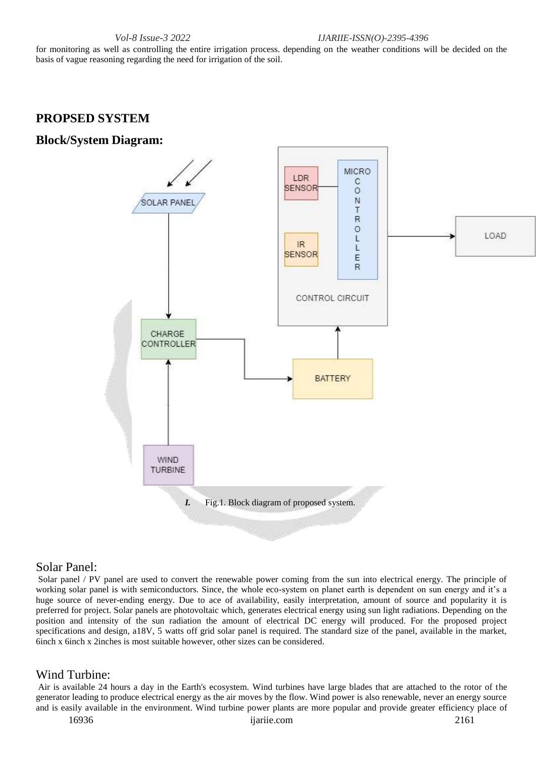*Vol-8 Issue-3 2022 IJARIIE-ISSN(O)-2395-4396*

for monitoring as well as controlling the entire irrigation process. depending on the weather conditions will be decided on the basis of vague reasoning regarding the need for irrigation of the soil.

# **PROPSED SYSTEM**

# **Block/System Diagram:**



#### Solar Panel:

Solar panel / PV panel are used to convert the renewable power coming from the sun into electrical energy. The principle of working solar panel is with semiconductors. Since, the whole eco-system on planet earth is dependent on sun energy and it's a huge source of never-ending energy. Due to ace of availability, easily interpretation, amount of source and popularity it is preferred for project. Solar panels are photovoltaic which, generates electrical energy using sun light radiations. Depending on the position and intensity of the sun radiation the amount of electrical DC energy will produced. For the proposed project specifications and design, a18V, 5 watts off grid solar panel is required. The standard size of the panel, available in the market, 6inch x 6inch x 2inches is most suitable however, other sizes can be considered.

# Wind Turbine:

Air is available 24 hours a day in the Earth's ecosystem. Wind turbines have large blades that are attached to the rotor of the generator leading to produce electrical energy as the air moves by the flow. Wind power is also renewable, never an energy source and is easily available in the environment. Wind turbine power plants are more popular and provide greater efficiency place of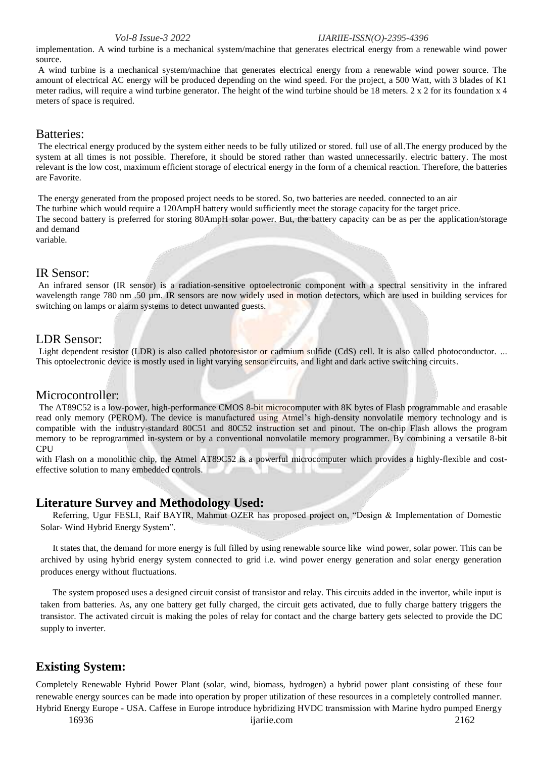*Vol-8 Issue-3 2022 IJARIIE-ISSN(O)-2395-4396*

implementation. A wind turbine is a mechanical system/machine that generates electrical energy from a renewable wind power source.

A wind turbine is a mechanical system/machine that generates electrical energy from a renewable wind power source. The amount of electrical AC energy will be produced depending on the wind speed. For the project, a 500 Watt, with 3 blades of K1 meter radius, will require a wind turbine generator. The height of the wind turbine should be 18 meters. 2 x 2 for its foundation x 4 meters of space is required.

# Batteries:

The electrical energy produced by the system either needs to be fully utilized or stored. full use of all.The energy produced by the system at all times is not possible. Therefore, it should be stored rather than wasted unnecessarily. electric battery. The most relevant is the low cost, maximum efficient storage of electrical energy in the form of a chemical reaction. Therefore, the batteries are Favorite.

The energy generated from the proposed project needs to be stored. So, two batteries are needed. connected to an air The turbine which would require a 120AmpH battery would sufficiently meet the storage capacity for the target price. The second battery is preferred for storing 80AmpH solar power. But, the battery capacity can be as per the application/storage and demand

variable.

#### IR Sensor:

An infrared sensor (IR sensor) is a radiation-sensitive optoelectronic component with a spectral sensitivity in the infrared wavelength range 780 nm .50 µm. IR sensors are now widely used in motion detectors, which are used in building services for switching on lamps or alarm systems to detect unwanted guests.

#### LDR Sensor:

Light dependent resistor (LDR) is also called photoresistor or cadmium sulfide (CdS) cell. It is also called photoconductor. ... This optoelectronic device is mostly used in light varying sensor circuits, and light and dark active switching circuits.

#### Microcontroller:

The AT89C52 is a low-power, high-performance CMOS 8-bit microcomputer with 8K bytes of Flash programmable and erasable read only memory (PEROM). The device is manufactured using Atmel's high-density nonvolatile memory technology and is compatible with the industry-standard 80C51 and 80C52 instruction set and pinout. The on-chip Flash allows the program memory to be reprogrammed in-system or by a conventional nonvolatile memory programmer. By combining a versatile 8-bit CPU

with Flash on a monolithic chip, the Atmel AT89C52 is a powerful microcomputer which provides a highly-flexible and costeffective solution to many embedded controls.

# **Literature Survey and Methodology Used:**

Referring, Ugur FESLI, Raif BAYIR, Mahmut OZER has proposed project on, "Design & Implementation of Domestic Solar- Wind Hybrid Energy System".

It states that, the demand for more energy is full filled by using renewable source like wind power, solar power. This can be archived by using hybrid energy system connected to grid i.e. wind power energy generation and solar energy generation produces energy without fluctuations.

The system proposed uses a designed circuit consist of transistor and relay. This circuits added in the invertor, while input is taken from batteries. As, any one battery get fully charged, the circuit gets activated, due to fully charge battery triggers the transistor. The activated circuit is making the poles of relay for contact and the charge battery gets selected to provide the DC supply to inverter.

# **Existing System:**

Completely Renewable Hybrid Power Plant (solar, wind, biomass, hydrogen) a hybrid power plant consisting of these four renewable energy sources can be made into operation by proper utilization of these resources in a completely controlled manner. Hybrid Energy Europe - USA. Caffese in Europe introduce hybridizing HVDC transmission with Marine hydro pumped Energy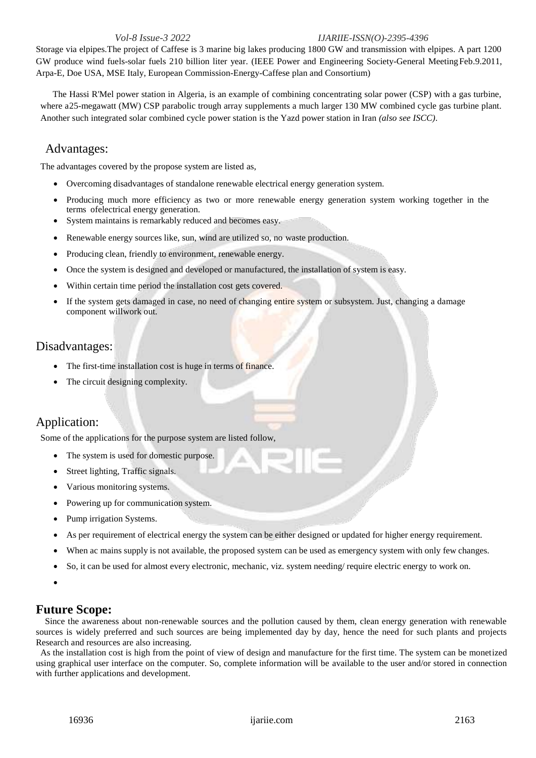#### *Vol-8 Issue-3 2022 IJARIIE-ISSN(O)-2395-4396*

Storage via elpipes.The project of Caffese is 3 marine big lakes producing 1800 GW and transmission with elpipes. A part 1200 GW produce wind fuels-solar fuels 210 billion liter year. (IEEE Power and Engineering Society-General MeetingFeb.9.2011, Arpa-E, Doe USA, MSE Italy, European Commission-Energy-Caffese plan and Consortium)

The Hassi R'Mel power station in Algeria, is an example of combining concentrating solar power (CSP) with a gas turbine, where a25-megawatt (MW) CSP parabolic trough array supplements a much larger 130 MW combined cycle gas turbine plant. Another such integrated solar combined cycle power station is the Yazd power station in Iran *(also see ISCC)*.

#### Advantages:

The advantages covered by the propose system are listed as,

- Overcoming disadvantages of standalone renewable electrical energy generation system.
- Producing much more efficiency as two or more renewable energy generation system working together in the terms ofelectrical energy generation.
- System maintains is remarkably reduced and becomes easy.
- Renewable energy sources like, sun, wind are utilized so, no waste production.
- Producing clean, friendly to environment, renewable energy.
- Once the system is designed and developed or manufactured, the installation of system is easy.
- Within certain time period the installation cost gets covered.
- If the system gets damaged in case, no need of changing entire system or subsystem. Just, changing a damage component willwork out.

# Disadvantages:

- The first-time installation cost is huge in terms of finance.
- The circuit designing complexity.

# Application:

Some of the applications for the purpose system are listed follow,

- The system is used for domestic purpose.
- Street lighting, Traffic signals.
- Various monitoring systems.
- Powering up for communication system.
- Pump irrigation Systems.
- As per requirement of electrical energy the system can be either designed or updated for higher energy requirement.
- When ac mains supply is not available, the proposed system can be used as emergency system with only few changes.
- So, it can be used for almost every electronic, mechanic, viz. system needing/ require electric energy to work on.
- $\bullet$

# **Future Scope:**

 Since the awareness about non-renewable sources and the pollution caused by them, clean energy generation with renewable sources is widely preferred and such sources are being implemented day by day, hence the need for such plants and projects Research and resources are also increasing.

 As the installation cost is high from the point of view of design and manufacture for the first time. The system can be monetized using graphical user interface on the computer. So, complete information will be available to the user and/or stored in connection with further applications and development.